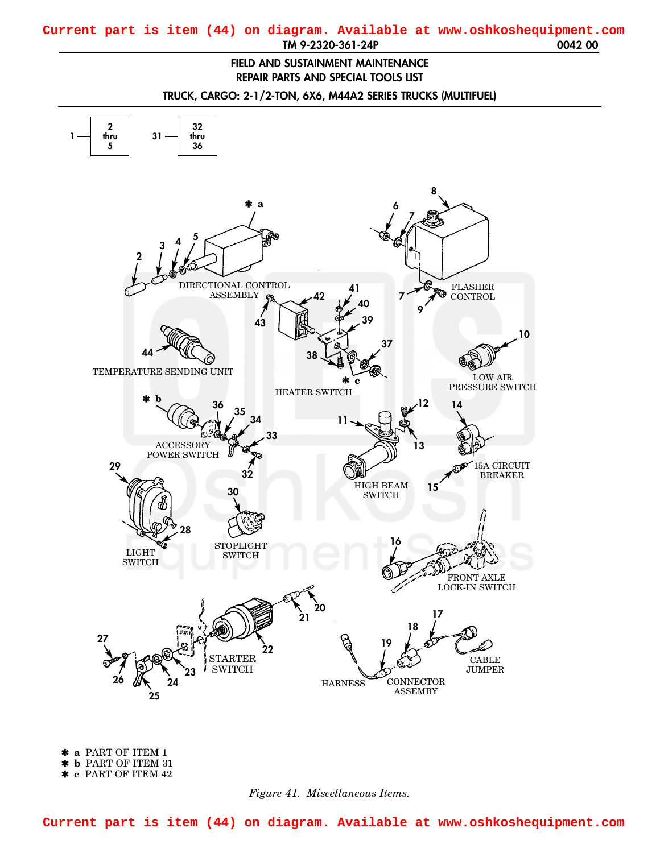## <span id="page-0-0"></span>**TM 9-2320-361-24P 0042 00 Current part is item (44) on diagram. Available at www.oshkoshequipment.com**

## **FIELD AND SUSTAINMENT MAINTENANCE REPAIR PARTS AND SPECIAL TOOLS LIST**

**TRUCK, CARGO: 2-1/2-TON, 6X6, M44A2 SERIES TRUCKS (MULTIFUEL)**



✱ **a** PART OF ITEM 1 ✱ **b** PART OF ITEM 31 ✱ **c** PART OF ITEM 42



**Current part is item (44) on diagram. Available at www.oshkoshequipment.com**